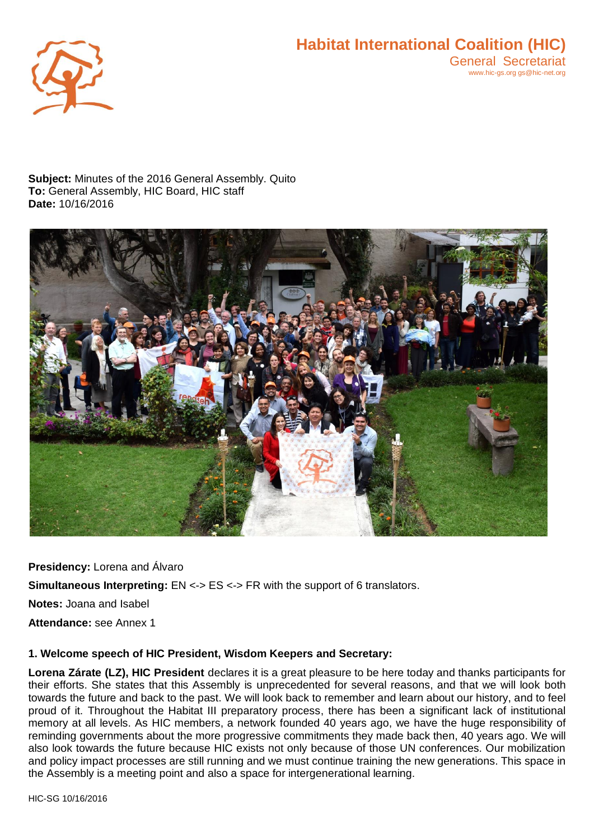

**Subject:** Minutes of the 2016 General Assembly. Quito **To:** General Assembly, HIC Board, HIC staff **Date:** 10/16/2016



**Presidency:** Lorena and Álvaro **Simultaneous Interpreting: EN <-> ES <-> FR with the support of 6 translators. Notes:** Joana and Isabel **Attendance:** see Annex 1

#### **1. Welcome speech of HIC President, Wisdom Keepers and Secretary:**

**Lorena Zárate (LZ), HIC President** declares it is a great pleasure to be here today and thanks participants for their efforts. She states that this Assembly is unprecedented for several reasons, and that we will look both towards the future and back to the past. We will look back to remember and learn about our history, and to feel proud of it. Throughout the Habitat III preparatory process, there has been a significant lack of institutional memory at all levels. As HIC members, a network founded 40 years ago, we have the huge responsibility of reminding governments about the more progressive commitments they made back then, 40 years ago. We will also look towards the future because HIC exists not only because of those UN conferences. Our mobilization and policy impact processes are still running and we must continue training the new generations. This space in the Assembly is a meeting point and also a space for intergenerational learning.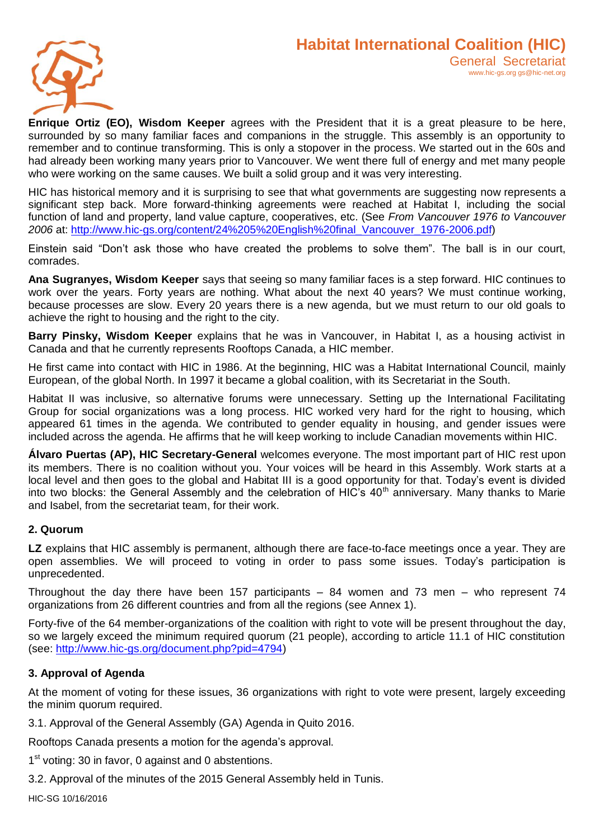

**Enrique Ortiz (EO), Wisdom Keeper** agrees with the President that it is a great pleasure to be here, surrounded by so many familiar faces and companions in the struggle. This assembly is an opportunity to remember and to continue transforming. This is only a stopover in the process. We started out in the 60s and had already been working many years prior to Vancouver. We went there full of energy and met many people who were working on the same causes. We built a solid group and it was very interesting.

HIC has historical memory and it is surprising to see that what governments are suggesting now represents a significant step back. More forward-thinking agreements were reached at Habitat I, including the social function of land and property, land value capture, cooperatives, etc. (See *From Vancouver 1976 to Vancouver 2006* at: [http://www.hic-gs.org/content/24%205%20English%20final\\_Vancouver\\_1976-2006.pdf\)](http://www.hic-gs.org/content/24%205%20English%20final_Vancouver_1976-2006.pdf)

Einstein said "Don't ask those who have created the problems to solve them". The ball is in our court, comrades.

**Ana Sugranyes, Wisdom Keeper** says that seeing so many familiar faces is a step forward. HIC continues to work over the years. Forty years are nothing. What about the next 40 years? We must continue working, because processes are slow. Every 20 years there is a new agenda, but we must return to our old goals to achieve the right to housing and the right to the city.

**Barry Pinsky, Wisdom Keeper** explains that he was in Vancouver, in Habitat I, as a housing activist in Canada and that he currently represents Rooftops Canada, a HIC member.

He first came into contact with HIC in 1986. At the beginning, HIC was a Habitat International Council, mainly European, of the global North. In 1997 it became a global coalition, with its Secretariat in the South.

Habitat II was inclusive, so alternative forums were unnecessary. Setting up the International Facilitating Group for social organizations was a long process. HIC worked very hard for the right to housing, which appeared 61 times in the agenda. We contributed to gender equality in housing, and gender issues were included across the agenda. He affirms that he will keep working to include Canadian movements within HIC.

**Álvaro Puertas (AP), HIC Secretary-General** welcomes everyone. The most important part of HIC rest upon its members. There is no coalition without you. Your voices will be heard in this Assembly. Work starts at a local level and then goes to the global and Habitat III is a good opportunity for that. Today's event is divided into two blocks: the General Assembly and the celebration of HIC's 40<sup>th</sup> anniversary. Many thanks to Marie and Isabel, from the secretariat team, for their work.

## **2. Quorum**

**LZ** explains that HIC assembly is permanent, although there are face-to-face meetings once a year. They are open assemblies. We will proceed to voting in order to pass some issues. Today's participation is unprecedented.

Throughout the day there have been 157 participants – 84 women and 73 men – who represent 74 organizations from 26 different countries and from all the regions (see Annex 1).

Forty-five of the 64 member-organizations of the coalition with right to vote will be present throughout the day, so we largely exceed the minimum required quorum (21 people), according to article 11.1 of HIC constitution (see: [http://www.hic-gs.org/document.php?pid=4794\)](http://www.hic-gs.org/document.php?pid=4794)

## **3. Approval of Agenda**

At the moment of voting for these issues, 36 organizations with right to vote were present, largely exceeding the minim quorum required.

3.1. Approval of the General Assembly (GA) Agenda in Quito 2016.

Rooftops Canada presents a motion for the agenda's approval.

1<sup>st</sup> voting: 30 in favor, 0 against and 0 abstentions.

3.2. Approval of the minutes of the 2015 General Assembly held in Tunis.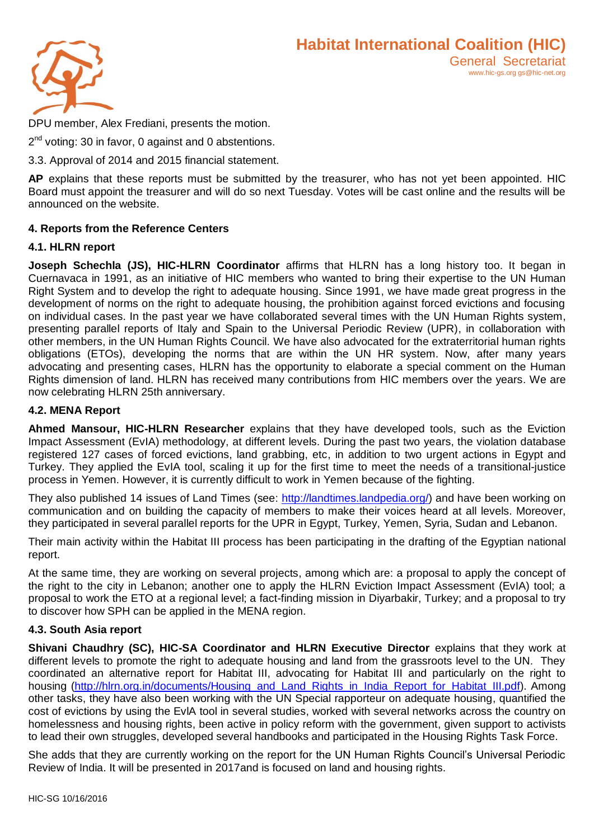

DPU member, Alex Frediani, presents the motion.

2<sup>nd</sup> voting: 30 in favor, 0 against and 0 abstentions.

3.3. Approval of 2014 and 2015 financial statement.

**AP** explains that these reports must be submitted by the treasurer, who has not yet been appointed. HIC Board must appoint the treasurer and will do so next Tuesday. Votes will be cast online and the results will be announced on the website.

## **4. Reports from the Reference Centers**

#### **4.1. HLRN report**

**Joseph Schechla (JS), HIC-HLRN Coordinator** affirms that HLRN has a long history too. It began in Cuernavaca in 1991, as an initiative of HIC members who wanted to bring their expertise to the UN Human Right System and to develop the right to adequate housing. Since 1991, we have made great progress in the development of norms on the right to adequate housing, the prohibition against forced evictions and focusing on individual cases. In the past year we have collaborated several times with the UN Human Rights system, presenting parallel reports of Italy and Spain to the Universal Periodic Review (UPR), in collaboration with other members, in the UN Human Rights Council. We have also advocated for the extraterritorial human rights obligations (ETOs), developing the norms that are within the UN HR system. Now, after many years advocating and presenting cases, HLRN has the opportunity to elaborate a special comment on the Human Rights dimension of land. HLRN has received many contributions from HIC members over the years. We are now celebrating HLRN 25th anniversary.

## **4.2. MENA Report**

**Ahmed Mansour, HIC-HLRN Researcher** explains that they have developed tools, such as the Eviction Impact Assessment (EvIA) methodology, at different levels. During the past two years, the violation database registered 127 cases of forced evictions, land grabbing, etc, in addition to two urgent actions in Egypt and Turkey. They applied the EvIA tool, scaling it up for the first time to meet the needs of a transitional-justice process in Yemen. However, it is currently difficult to work in Yemen because of the fighting.

They also published 14 issues of Land Times (see: [http://landtimes.landpedia.org/\)](http://landtimes.landpedia.org/) and have been working on communication and on building the capacity of members to make their voices heard at all levels. Moreover, they participated in several parallel reports for the UPR in Egypt, Turkey, Yemen, Syria, Sudan and Lebanon.

Their main activity within the Habitat III process has been participating in the drafting of the Egyptian national report.

At the same time, they are working on several projects, among which are: a proposal to apply the concept of the right to the city in Lebanon; another one to apply the HLRN Eviction Impact Assessment (EvIA) tool; a proposal to work the ETO at a regional level; a fact-finding mission in Diyarbakir, Turkey; and a proposal to try to discover how SPH can be applied in the MENA region.

#### **4.3. South Asia report**

**Shivani Chaudhry (SC), HIC-SA Coordinator and HLRN Executive Director** explains that they work at different levels to promote the right to adequate housing and land from the grassroots level to the UN. They coordinated an alternative report for Habitat III, advocating for Habitat III and particularly on the right to housing [\(http://hlrn.org.in/documents/Housing\\_and\\_Land\\_Rights\\_in\\_India\\_Report\\_for\\_Habitat\\_III.pdf\)](http://hlrn.org.in/documents/Housing_and_Land_Rights_in_India_Report_for_Habitat_III.pdf). Among other tasks, they have also been working with the UN Special rapporteur on adequate housing, quantified the cost of evictions by using the EvlA tool in several studies, worked with several networks across the country on homelessness and housing rights, been active in policy reform with the government, given support to activists to lead their own struggles, developed several handbooks and participated in the Housing Rights Task Force.

She adds that they are currently working on the report for the UN Human Rights Council's Universal Periodic Review of India. It will be presented in 2017and is focused on land and housing rights.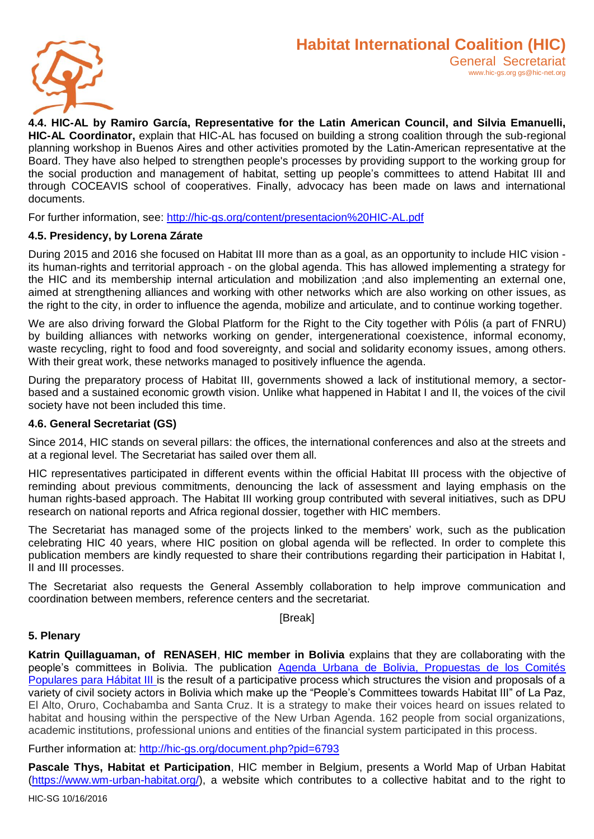

**4.4. HIC-AL by Ramiro García, Representative for the Latin American Council, and Silvia Emanuelli, HIC-AL Coordinator,** explain that HIC-AL has focused on building a strong coalition through the sub-regional planning workshop in Buenos Aires and other activities promoted by the Latin-American representative at the Board. They have also helped to strengthen people's processes by providing support to the working group for the social production and management of habitat, setting up people's committees to attend Habitat III and through COCEAVIS school of cooperatives. Finally, advocacy has been made on laws and international documents.

For further information, see:<http://hic-gs.org/content/presentacion%20HIC-AL.pdf>

#### **4.5. Presidency, by Lorena Zárate**

During 2015 and 2016 she focused on Habitat III more than as a goal, as an opportunity to include HIC vision its human-rights and territorial approach - on the global agenda. This has allowed implementing a strategy for the HIC and its membership internal articulation and mobilization ;and also implementing an external one, aimed at strengthening alliances and working with other networks which are also working on other issues, as the right to the city, in order to influence the agenda, mobilize and articulate, and to continue working together.

We are also driving forward the Global Platform for the Right to the City together with Pólis (a part of FNRU) by building alliances with networks working on gender, intergenerational coexistence, informal economy, waste recycling, right to food and food sovereignty, and social and solidarity economy issues, among others. With their great work, these networks managed to positively influence the agenda.

During the preparatory process of Habitat III, governments showed a lack of institutional memory, a sectorbased and a sustained economic growth vision. Unlike what happened in Habitat I and II, the voices of the civil society have not been included this time.

#### **4.6. General Secretariat (GS)**

Since 2014, HIC stands on several pillars: the offices, the international conferences and also at the streets and at a regional level. The Secretariat has sailed over them all.

HIC representatives participated in different events within the official Habitat III process with the objective of reminding about previous commitments, denouncing the lack of assessment and laying emphasis on the human rights-based approach. The Habitat III working group contributed with several initiatives, such as DPU research on national reports and Africa regional dossier, together with HIC members.

The Secretariat has managed some of the projects linked to the members' work, such as the publication celebrating HIC 40 years, where HIC position on global agenda will be reflected. In order to complete this publication members are kindly requested to share their contributions regarding their participation in Habitat I, II and III processes.

The Secretariat also requests the General Assembly collaboration to help improve communication and coordination between members, reference centers and the secretariat.

[Break]

#### **5. Plenary**

**Katrin Quillaguaman, of RENASEH**, **HIC member in Bolivia** explains that they are collaborating with the people's committees in Bolivia. The publication Agenda [Urbana de Bolivia, Propuestas de los Comités](http://hic-gs.org/document.php?pid=6793)  [Populares para Hábitat III](http://hic-gs.org/document.php?pid=6793) is the result of a participative process which structures the vision and proposals of a variety of civil society actors in Bolivia which make up the "People's Committees towards Habitat III" of La Paz, El Alto, Oruro, Cochabamba and Santa Cruz. It is a strategy to make their voices heard on issues related to habitat and housing within the perspective of the New Urban Agenda. 162 people from social organizations, academic institutions, professional unions and entities of the financial system participated in this process.

Further information at:<http://hic-gs.org/document.php?pid=6793>

**Pascale Thys, Habitat et Participation**, HIC member in Belgium, presents a World Map of Urban Habitat [\(https://www.wm-urban-habitat.org/\)](https://www.wm-urban-habitat.org/), a website which contributes to a collective habitat and to the right to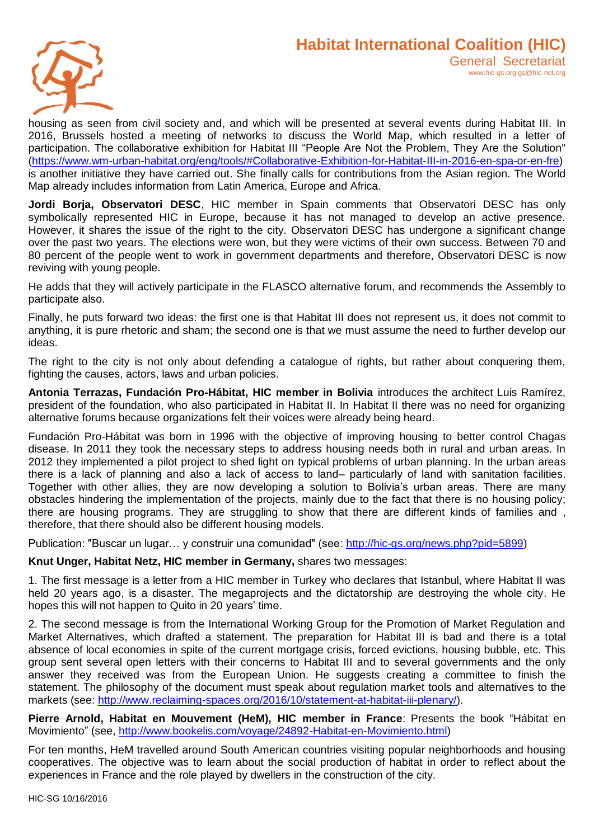

housing as seen from civil society and, and which will be presented at several events during Habitat III. In 2016, Brussels hosted a meeting of networks to discuss the World Map, which resulted in a letter of participation. The collaborative exhibition for Habitat III "People Are Not the Problem, They Are the Solution" [\(https://www.wm-urban-habitat.org/eng/tools/#Collaborative-Exhibition-for-Habitat-III-in-2016-en-spa-or-en-fre\)](https://www.wm-urban-habitat.org/eng/tools/#Collaborative-Exhibition-for-Habitat-III-in-2016-en-spa-or-en-fre) is another initiative they have carried out. She finally calls for contributions from the Asian region. The World Map already includes information from Latin America, Europe and Africa.

**Jordi Borja, Observatori DESC**, HIC member in Spain comments that Observatori DESC has only symbolically represented HIC in Europe, because it has not managed to develop an active presence. However, it shares the issue of the right to the city. Observatori DESC has undergone a significant change over the past two years. The elections were won, but they were victims of their own success. Between 70 and 80 percent of the people went to work in government departments and therefore, Observatori DESC is now reviving with young people.

He adds that they will actively participate in the FLASCO alternative forum, and recommends the Assembly to participate also.

Finally, he puts forward two ideas: the first one is that Habitat III does not represent us, it does not commit to anything, it is pure rhetoric and sham; the second one is that we must assume the need to further develop our ideas.

The right to the city is not only about defending a catalogue of rights, but rather about conquering them, fighting the causes, actors, laws and urban policies.

**Antonia Terrazas, Fundación Pro-Hábitat, HIC member in Bolivia** introduces the architect Luis Ramírez, president of the foundation, who also participated in Habitat II. In Habitat II there was no need for organizing alternative forums because organizations felt their voices were already being heard.

Fundación Pro-Hábitat was born in 1996 with the objective of improving housing to better control Chagas disease. In 2011 they took the necessary steps to address housing needs both in rural and urban areas. In 2012 they implemented a pilot project to shed light on typical problems of urban planning. In the urban areas there is a lack of planning and also a lack of access to land– particularly of land with sanitation facilities. Together with other allies, they are now developing a solution to Bolivia's urban areas. There are many obstacles hindering the implementation of the projects, mainly due to the fact that there is no housing policy; there are housing programs. They are struggling to show that there are different kinds of families and , therefore, that there should also be different housing models.

Publication: "Buscar un lugar… y construir una comunidad" (see: [http://hic-gs.org/news.php?pid=5899\)](http://hic-gs.org/news.php?pid=5899)

#### **Knut Unger, Habitat Netz, HIC member in Germany,** shares two messages:

1. The first message is a letter from a HIC member in Turkey who declares that Istanbul, where Habitat II was held 20 years ago, is a disaster. The megaprojects and the dictatorship are destroying the whole city. He hopes this will not happen to Quito in 20 years' time.

2. The second message is from the International Working Group for the Promotion of Market Regulation and Market Alternatives, which drafted a statement. The preparation for Habitat III is bad and there is a total absence of local economies in spite of the current mortgage crisis, forced evictions, housing bubble, etc. This group sent several open letters with their concerns to Habitat III and to several governments and the only answer they received was from the European Union. He suggests creating a committee to finish the statement. The philosophy of the document must speak about regulation market tools and alternatives to the markets (see: [http://www.reclaiming-spaces.org/2016/10/statement-at-habitat-iii-plenary/\)](http://www.reclaiming-spaces.org/2016/10/statement-at-habitat-iii-plenary/).

**Pierre Arnold, Habitat en Mouvement (HeM), HIC member in France**: Presents the book "Hábitat en Movimiento" (see, [http://www.bookelis.com/voyage/24892-Habitat-en-Movimiento.html\)](http://www.bookelis.com/voyage/24892-Habitat-en-Movimiento.html)

For ten months, HeM travelled around South American countries visiting popular neighborhoods and housing cooperatives. The objective was to learn about the social production of habitat in order to reflect about the experiences in France and the role played by dwellers in the construction of the city.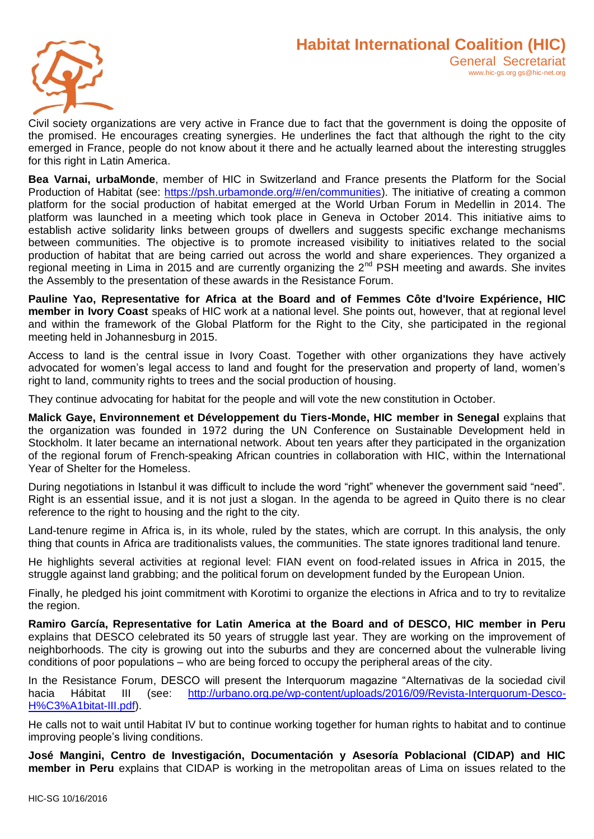

Civil society organizations are very active in France due to fact that the government is doing the opposite of the promised. He encourages creating synergies. He underlines the fact that although the right to the city emerged in France, people do not know about it there and he actually learned about the interesting struggles for this right in Latin America.

**Bea Varnai, urbaMonde**, member of HIC in Switzerland and France presents the Platform for the Social Production of Habitat (see: [https://psh.urbamonde.org/#/en/communities\)](https://psh.urbamonde.org/#/en/communities). The initiative of creating a common platform for the social production of habitat emerged at the World Urban Forum in Medellin in 2014. The platform was launched in a meeting which took place in Geneva in October 2014. This initiative aims to establish active solidarity links between groups of dwellers and suggests specific exchange mechanisms between communities. The objective is to promote increased visibility to initiatives related to the social production of habitat that are being carried out across the world and share experiences. They organized a regional meeting in Lima in 2015 and are currently organizing the 2<sup>nd</sup> PSH meeting and awards. She invites the Assembly to the presentation of these awards in the Resistance Forum.

**Pauline Yao, Representative for Africa at the Board and of Femmes Côte d'Ivoire Expérience, HIC member in Ivory Coast** speaks of HIC work at a national level. She points out, however, that at regional level and within the framework of the Global Platform for the Right to the City, she participated in the regional meeting held in Johannesburg in 2015.

Access to land is the central issue in Ivory Coast. Together with other organizations they have actively advocated for women's legal access to land and fought for the preservation and property of land, women's right to land, community rights to trees and the social production of housing.

They continue advocating for habitat for the people and will vote the new constitution in October.

**Malick Gaye, Environnement et Développement du Tiers-Monde, HIC member in Senegal** explains that the organization was founded in 1972 during the UN Conference on Sustainable Development held in Stockholm. It later became an international network. About ten years after they participated in the organization of the regional forum of French-speaking African countries in collaboration with HIC, within the International Year of Shelter for the Homeless.

During negotiations in Istanbul it was difficult to include the word "right" whenever the government said "need". Right is an essential issue, and it is not just a slogan. In the agenda to be agreed in Quito there is no clear reference to the right to housing and the right to the city.

Land-tenure regime in Africa is, in its whole, ruled by the states, which are corrupt. In this analysis, the only thing that counts in Africa are traditionalists values, the communities. The state ignores traditional land tenure.

He highlights several activities at regional level: FIAN event on food-related issues in Africa in 2015, the struggle against land grabbing; and the political forum on development funded by the European Union.

Finally, he pledged his joint commitment with Korotimi to organize the elections in Africa and to try to revitalize the region.

**Ramiro García, Representative for Latin America at the Board and of DESCO, HIC member in Peru** explains that DESCO celebrated its 50 years of struggle last year. They are working on the improvement of neighborhoods. The city is growing out into the suburbs and they are concerned about the vulnerable living conditions of poor populations – who are being forced to occupy the peripheral areas of the city.

In the Resistance Forum, DESCO will present the Interquorum magazine "Alternativas de la sociedad civil hacia Hábitat III (see: [http://urbano.org.pe/wp-content/uploads/2016/09/Revista-Interquorum-Desco-](http://urbano.org.pe/wp-content/uploads/2016/09/Revista-Interquorum-Desco-H%C3%A1bitat-III.pdf)[H%C3%A1bitat-III.pdf\)](http://urbano.org.pe/wp-content/uploads/2016/09/Revista-Interquorum-Desco-H%C3%A1bitat-III.pdf).

He calls not to wait until Habitat IV but to continue working together for human rights to habitat and to continue improving people's living conditions.

**José Mangini, Centro de Investigación, Documentación y Asesoría Poblacional (CIDAP) and HIC member in Peru** explains that CIDAP is working in the metropolitan areas of Lima on issues related to the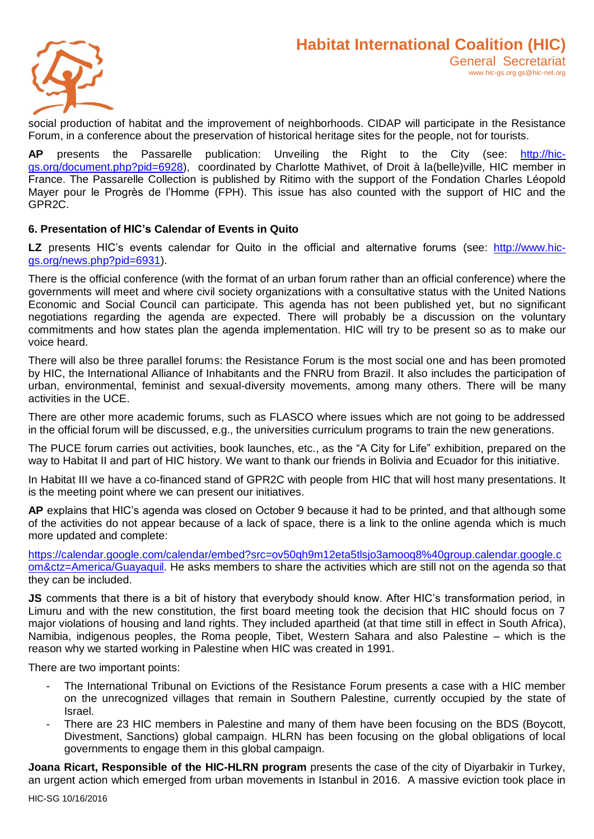

social production of habitat and the improvement of neighborhoods. CIDAP will participate in the Resistance Forum, in a conference about the preservation of historical heritage sites for the people, not for tourists.

**AP** presents the Passarelle publication: Unveiling the Right to the City (see: [http://hic](http://hic-gs.org/document.php?pid=6928)[gs.org/document.php?pid=6928\)](http://hic-gs.org/document.php?pid=6928), coordinated by Charlotte Mathivet, of Droit à la(belle)ville, HIC member in France. The Passarelle Collection is published by Ritimo with the support of the Fondation Charles Léopold Mayer pour le Progrès de l'Homme (FPH). This issue has also counted with the support of HIC and the GPR2C.

## **6. Presentation of HIC's Calendar of Events in Quito**

LZ presents HIC's events calendar for Quito in the official and alternative forums (see: [http://www.hic](http://www.hic-gs.org/news.php?pid=6931)[gs.org/news.php?pid=6931\)](http://www.hic-gs.org/news.php?pid=6931).

There is the official conference (with the format of an urban forum rather than an official conference) where the governments will meet and where civil society organizations with a consultative status with the United Nations Economic and Social Council can participate. This agenda has not been published yet, but no significant negotiations regarding the agenda are expected. There will probably be a discussion on the voluntary commitments and how states plan the agenda implementation. HIC will try to be present so as to make our voice heard.

There will also be three parallel forums: the Resistance Forum is the most social one and has been promoted by HIC, the International Alliance of Inhabitants and the FNRU from Brazil. It also includes the participation of urban, environmental, feminist and sexual-diversity movements, among many others. There will be many activities in the UCE.

There are other more academic forums, such as FLASCO where issues which are not going to be addressed in the official forum will be discussed, e.g., the universities curriculum programs to train the new generations.

The PUCE forum carries out activities, book launches, etc., as the "A City for Life" exhibition, prepared on the way to Habitat II and part of HIC history. We want to thank our friends in Bolivia and Ecuador for this initiative.

In Habitat III we have a co-financed stand of GPR2C with people from HIC that will host many presentations. It is the meeting point where we can present our initiatives.

**AP** explains that HIC's agenda was closed on October 9 because it had to be printed, and that although some of the activities do not appear because of a lack of space, there is a link to the online agenda which is much more updated and complete:

[https://calendar.google.com/calendar/embed?src=ov50qh9m12eta5tlsjo3amooq8%40group.calendar.google.c](https://calendar.google.com/calendar/embed?src=ov50qh9m12eta5tlsjo3amooq8%40group.calendar.google.com&ctz=America/Guayaquil) [om&ctz=America/Guayaquil.](https://calendar.google.com/calendar/embed?src=ov50qh9m12eta5tlsjo3amooq8%40group.calendar.google.com&ctz=America/Guayaquil) He asks members to share the activities which are still not on the agenda so that they can be included.

**JS** comments that there is a bit of history that everybody should know. After HIC's transformation period, in Limuru and with the new constitution, the first board meeting took the decision that HIC should focus on 7 major violations of housing and land rights. They included apartheid (at that time still in effect in South Africa), Namibia, indigenous peoples, the Roma people, Tibet, Western Sahara and also Palestine – which is the reason why we started working in Palestine when HIC was created in 1991.

There are two important points:

- The International Tribunal on Evictions of the Resistance Forum presents a case with a HIC member on the unrecognized villages that remain in Southern Palestine, currently occupied by the state of Israel.
- There are 23 HIC members in Palestine and many of them have been focusing on the BDS (Boycott, Divestment, Sanctions) global campaign. HLRN has been focusing on the global obligations of local governments to engage them in this global campaign.

**Joana Ricart, Responsible of the HIC-HLRN program** presents the case of the city of Diyarbakir in Turkey, an urgent action which emerged from urban movements in Istanbul in 2016. A massive eviction took place in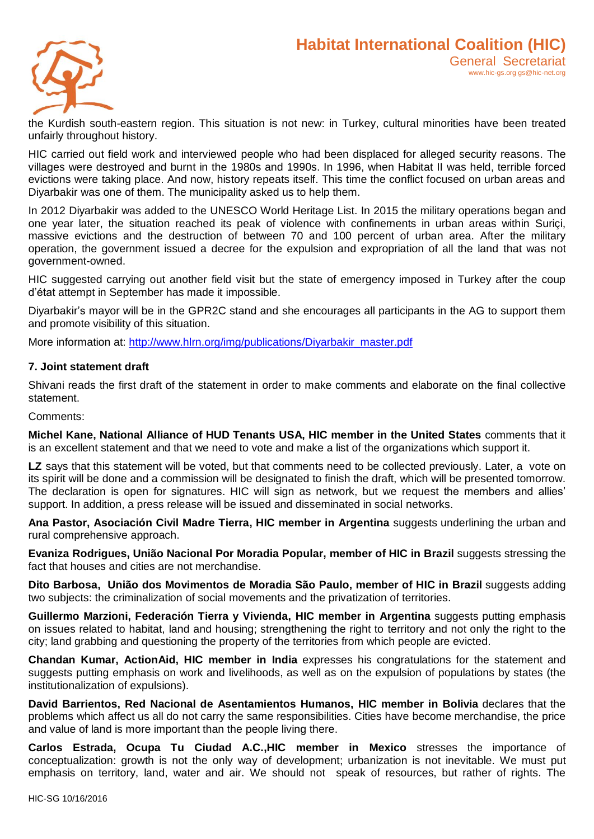

the Kurdish south-eastern region. This situation is not new: in Turkey, cultural minorities have been treated unfairly throughout history.

HIC carried out field work and interviewed people who had been displaced for alleged security reasons. The villages were destroyed and burnt in the 1980s and 1990s. In 1996, when Habitat II was held, terrible forced evictions were taking place. And now, history repeats itself. This time the conflict focused on urban areas and Diyarbakir was one of them. The municipality asked us to help them.

In 2012 Diyarbakir was added to the UNESCO World Heritage List. In 2015 the military operations began and one year later, the situation reached its peak of violence with confinements in urban areas within Suriçi, massive evictions and the destruction of between 70 and 100 percent of urban area. After the military operation, the government issued a decree for the expulsion and expropriation of all the land that was not government-owned.

HIC suggested carrying out another field visit but the state of emergency imposed in Turkey after the coup d'état attempt in September has made it impossible.

Diyarbakir's mayor will be in the GPR2C stand and she encourages all participants in the AG to support them and promote visibility of this situation.

More information at: [http://www.hlrn.org/img/publications/Diyarbakir\\_master.pdf](http://www.hlrn.org/img/publications/Diyarbakir_master.pdf)

#### **7. Joint statement draft**

Shivani reads the first draft of the statement in order to make comments and elaborate on the final collective statement.

Comments:

**Michel Kane, National Alliance of HUD Tenants USA, HIC member in the United States** comments that it is an excellent statement and that we need to vote and make a list of the organizations which support it.

**LZ** says that this statement will be voted, but that comments need to be collected previously. Later, a vote on its spirit will be done and a commission will be designated to finish the draft, which will be presented tomorrow. The declaration is open for signatures. HIC will sign as network, but we request the members and allies' support. In addition, a press release will be issued and disseminated in social networks.

**Ana Pastor, Asociación Civil Madre Tierra, HIC member in Argentina** suggests underlining the urban and rural comprehensive approach.

**Evaniza Rodrigues, União Nacional Por Moradia Popular, member of HIC in Brazil** suggests stressing the fact that houses and cities are not merchandise.

**Dito Barbosa, União dos Movimentos de Moradia São Paulo, member of HIC in Brazil** suggests adding two subjects: the criminalization of social movements and the privatization of territories.

**Guillermo Marzioni, Federación Tierra y Vivienda, HIC member in Argentina** suggests putting emphasis on issues related to habitat, land and housing; strengthening the right to territory and not only the right to the city; land grabbing and questioning the property of the territories from which people are evicted.

**Chandan Kumar, ActionAid, HIC member in India** expresses his congratulations for the statement and suggests putting emphasis on work and livelihoods, as well as on the expulsion of populations by states (the institutionalization of expulsions).

**David Barrientos, Red Nacional de Asentamientos Humanos, HIC member in Bolivia** declares that the problems which affect us all do not carry the same responsibilities. Cities have become merchandise, the price and value of land is more important than the people living there.

**Carlos Estrada, Ocupa Tu Ciudad A.C.,HIC member in Mexico** stresses the importance of conceptualization: growth is not the only way of development; urbanization is not inevitable. We must put emphasis on territory, land, water and air. We should not speak of resources, but rather of rights. The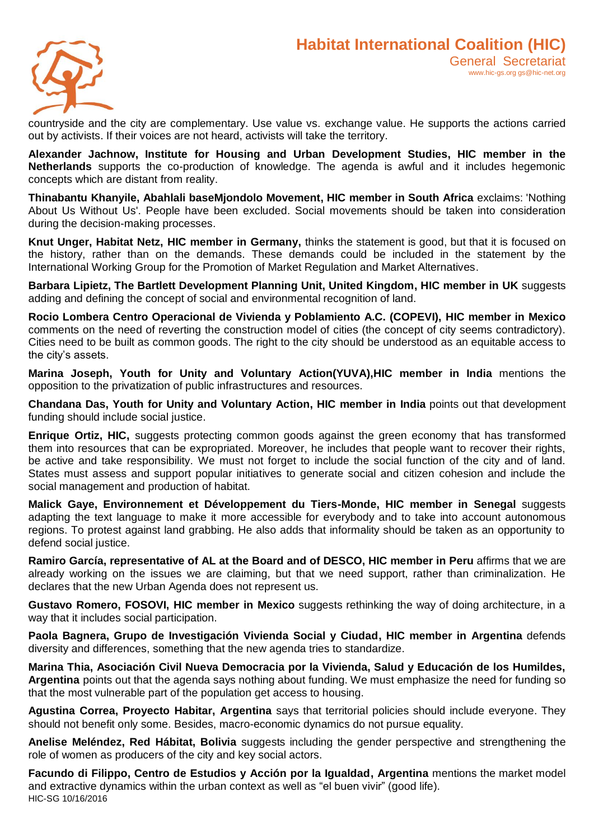

countryside and the city are complementary. Use value vs. exchange value. He supports the actions carried out by activists. If their voices are not heard, activists will take the territory.

**Alexander Jachnow, Institute for Housing and Urban Development Studies, HIC member in the Netherlands** supports the co-production of knowledge. The agenda is awful and it includes hegemonic concepts which are distant from reality.

**Thinabantu Khanyile, Abahlali baseMjondolo Movement, HIC member in South Africa** exclaims: 'Nothing About Us Without Us'. People have been excluded. Social movements should be taken into consideration during the decision-making processes.

**Knut Unger, Habitat Netz, HIC member in Germany,** thinks the statement is good, but that it is focused on the history, rather than on the demands. These demands could be included in the statement by the International Working Group for the Promotion of Market Regulation and Market Alternatives.

**Barbara Lipietz, The Bartlett Development Planning Unit, United Kingdom, HIC member in UK** suggests adding and defining the concept of social and environmental recognition of land.

**Rocio Lombera Centro Operacional de Vivienda y Poblamiento A.C. (COPEVI), HIC member in Mexico** comments on the need of reverting the construction model of cities (the concept of city seems contradictory). Cities need to be built as common goods. The right to the city should be understood as an equitable access to the city's assets.

**Marina Joseph, Youth for Unity and Voluntary Action(YUVA),HIC member in India** mentions the opposition to the privatization of public infrastructures and resources.

**Chandana Das, Youth for Unity and Voluntary Action, HIC member in India** points out that development funding should include social justice.

**Enrique Ortiz, HIC,** suggests protecting common goods against the green economy that has transformed them into resources that can be expropriated. Moreover, he includes that people want to recover their rights, be active and take responsibility. We must not forget to include the social function of the city and of land. States must assess and support popular initiatives to generate social and citizen cohesion and include the social management and production of habitat.

**Malick Gaye, Environnement et Développement du Tiers-Monde, HIC member in Senegal** suggests adapting the text language to make it more accessible for everybody and to take into account autonomous regions. To protest against land grabbing. He also adds that informality should be taken as an opportunity to defend social justice.

**Ramiro García, representative of AL at the Board and of DESCO, HIC member in Peru** affirms that we are already working on the issues we are claiming, but that we need support, rather than criminalization. He declares that the new Urban Agenda does not represent us.

**Gustavo Romero, FOSOVI, HIC member in Mexico** suggests rethinking the way of doing architecture, in a way that it includes social participation.

**Paola Bagnera, Grupo de Investigación Vivienda Social y Ciudad, HIC member in Argentina** defends diversity and differences, something that the new agenda tries to standardize.

**Marina Thia, Asociación Civil Nueva Democracia por la Vivienda, Salud y Educación de los Humildes, Argentina** points out that the agenda says nothing about funding. We must emphasize the need for funding so that the most vulnerable part of the population get access to housing.

**Agustina Correa, Proyecto Habitar, Argentina** says that territorial policies should include everyone. They should not benefit only some. Besides, macro-economic dynamics do not pursue equality.

**Anelise Meléndez, Red Hábitat, Bolivia** suggests including the gender perspective and strengthening the role of women as producers of the city and key social actors.

HIC-SG 10/16/2016 **Facundo di Filippo, Centro de Estudios y Acción por la Igualdad, Argentina** mentions the market model and extractive dynamics within the urban context as well as "el buen vivir" (good life).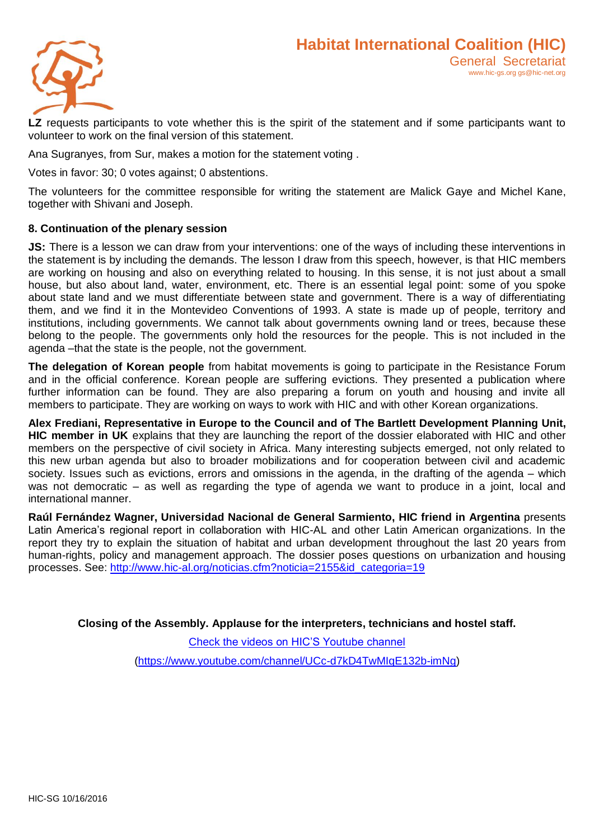

**LZ** requests participants to vote whether this is the spirit of the statement and if some participants want to volunteer to work on the final version of this statement.

Ana Sugranyes, from Sur, makes a motion for the statement voting .

Votes in favor: 30; 0 votes against; 0 abstentions.

The volunteers for the committee responsible for writing the statement are Malick Gaye and Michel Kane, together with Shivani and Joseph.

#### **8. Continuation of the plenary session**

**JS:** There is a lesson we can draw from your interventions: one of the ways of including these interventions in the statement is by including the demands. The lesson I draw from this speech, however, is that HIC members are working on housing and also on everything related to housing. In this sense, it is not just about a small house, but also about land, water, environment, etc. There is an essential legal point: some of you spoke about state land and we must differentiate between state and government. There is a way of differentiating them, and we find it in the Montevideo Conventions of 1993. A state is made up of people, territory and institutions, including governments. We cannot talk about governments owning land or trees, because these belong to the people. The governments only hold the resources for the people. This is not included in the agenda –that the state is the people, not the government.

**The delegation of Korean people** from habitat movements is going to participate in the Resistance Forum and in the official conference. Korean people are suffering evictions. They presented a publication where further information can be found. They are also preparing a forum on youth and housing and invite all members to participate. They are working on ways to work with HIC and with other Korean organizations.

**Alex Frediani, Representative in Europe to the Council and of The Bartlett Development Planning Unit, HIC member in UK** explains that they are launching the report of the dossier elaborated with HIC and other members on the perspective of civil society in Africa. Many interesting subjects emerged, not only related to this new urban agenda but also to broader mobilizations and for cooperation between civil and academic society. Issues such as evictions, errors and omissions in the agenda, in the drafting of the agenda – which was not democratic – as well as regarding the type of agenda we want to produce in a joint, local and international manner.

**Raúl Fernández Wagner, Universidad Nacional de General Sarmiento, HIC friend in Argentina** presents Latin America's regional report in collaboration with HIC-AL and other Latin American organizations. In the report they try to explain the situation of habitat and urban development throughout the last 20 years from human-rights, policy and management approach. The dossier poses questions on urbanization and housing processes. See: [http://www.hic-al.org/noticias.cfm?noticia=2155&id\\_categoria=19](http://www.hic-al.org/noticias.cfm?noticia=2155&id_categoria=19)

**Closing of the Assembly. Applause for the interpreters, technicians and hostel staff.** 

[Check the videos on HIC'S Youtube channel](file:///C:/Users/marie%20pompei/AppData/Local/Temp/Check%20the%20videos%20on%20HIC)

[\(https://www.youtube.com/channel/UCc-d7kD4TwMIqE132b-imNg\)](https://www.youtube.com/channel/UCc-d7kD4TwMIqE132b-imNg)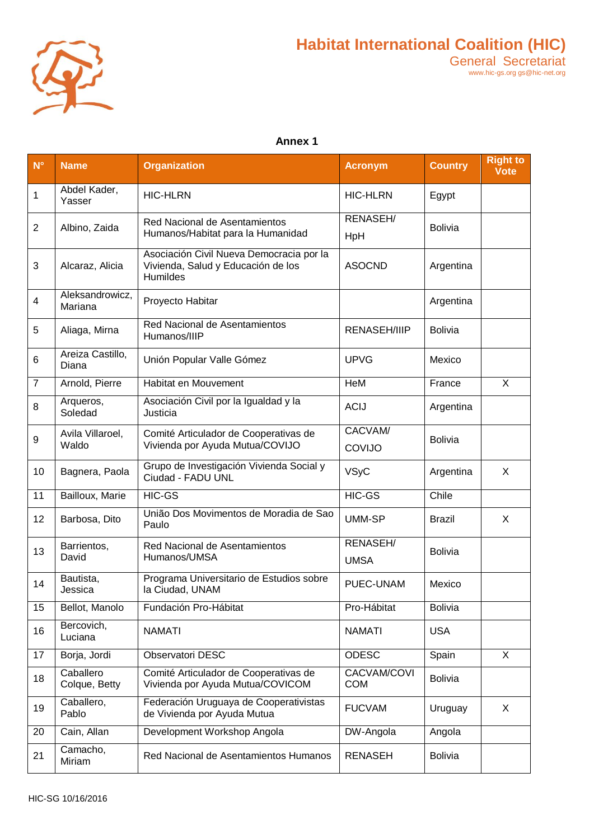

## **Annex 1**

| $\mathsf{N}^\circ$ | <b>Name</b>                | <b>Organization</b>                                                                        | <b>Acronym</b>                 | <b>Country</b> | <b>Right to</b><br><b>Vote</b> |
|--------------------|----------------------------|--------------------------------------------------------------------------------------------|--------------------------------|----------------|--------------------------------|
| $\mathbf 1$        | Abdel Kader,<br>Yasser     | <b>HIC-HLRN</b>                                                                            | <b>HIC-HLRN</b>                | Egypt          |                                |
| $\overline{2}$     | Albino, Zaida              | Red Nacional de Asentamientos<br>Humanos/Habitat para la Humanidad                         | <b>RENASEH/</b><br>HpH         | <b>Bolivia</b> |                                |
| $\mathbf{3}$       | Alcaraz, Alicia            | Asociación Civil Nueva Democracia por la<br>Vivienda, Salud y Educación de los<br>Humildes | <b>ASOCND</b>                  | Argentina      |                                |
| $\overline{4}$     | Aleksandrowicz,<br>Mariana | Proyecto Habitar                                                                           |                                | Argentina      |                                |
| 5                  | Aliaga, Mirna              | Red Nacional de Asentamientos<br>Humanos/IIIP                                              | <b>RENASEH/IIIP</b>            | <b>Bolivia</b> |                                |
| 6                  | Areiza Castillo,<br>Diana  | Unión Popular Valle Gómez                                                                  | <b>UPVG</b>                    | Mexico         |                                |
| $\overline{7}$     | Arnold, Pierre             | Habitat en Mouvement                                                                       | HeM                            | France         | $\mathsf{X}$                   |
| 8                  | Arqueros,<br>Soledad       | Asociación Civil por la Igualdad y la<br>Justicia                                          | <b>ACIJ</b>                    | Argentina      |                                |
|                    | Avila Villaroel,<br>Waldo  | Comité Articulador de Cooperativas de<br>Vivienda por Ayuda Mutua/COVIJO                   | CACVAM/                        | <b>Bolivia</b> |                                |
| $\boldsymbol{9}$   |                            |                                                                                            | COVIJO                         |                |                                |
| 10                 | Bagnera, Paola             | Grupo de Investigación Vivienda Social y<br>Ciudad - FADU UNL                              | <b>VSyC</b>                    | Argentina      | X                              |
| $\overline{11}$    | Bailloux, Marie            | <b>HIC-GS</b>                                                                              | HIC-GS                         | Chile          |                                |
| 12                 | Barbosa, Dito              | União Dos Movimentos de Moradia de Sao<br>Paulo                                            | <b>UMM-SP</b>                  | <b>Brazil</b>  | X                              |
| 13                 | Barrientos,<br>David       | Red Nacional de Asentamientos<br>Humanos/UMSA                                              | <b>RENASEH/</b><br><b>UMSA</b> | <b>Bolivia</b> |                                |
| 14                 | Bautista,<br>Jessica       | Programa Universitario de Estudios sobre<br>la Ciudad, UNAM                                | PUEC-UNAM                      | Mexico         |                                |
| 15                 | Bellot, Manolo             | Fundación Pro-Hábitat                                                                      | Pro-Hábitat                    | <b>Bolivia</b> |                                |
| 16                 | Bercovich,<br>Luciana      | <b>NAMATI</b>                                                                              | <b>NAMATI</b>                  | <b>USA</b>     |                                |
| 17                 | Borja, Jordi               | <b>Observatori DESC</b>                                                                    | <b>ODESC</b>                   | Spain          | X                              |
| 18                 | Caballero<br>Colque, Betty | Comité Articulador de Cooperativas de<br>Vivienda por Ayuda Mutua/COVICOM                  | CACVAM/COVI<br><b>COM</b>      | <b>Bolivia</b> |                                |
| 19                 | Caballero,<br>Pablo        | Federación Uruguaya de Cooperativistas<br>de Vivienda por Ayuda Mutua                      | <b>FUCVAM</b>                  | Uruguay        | X                              |
| 20                 | Cain, Allan                | Development Workshop Angola                                                                | DW-Angola                      | Angola         |                                |
| 21                 | Camacho,<br>Miriam         | Red Nacional de Asentamientos Humanos                                                      | <b>RENASEH</b>                 | <b>Bolivia</b> |                                |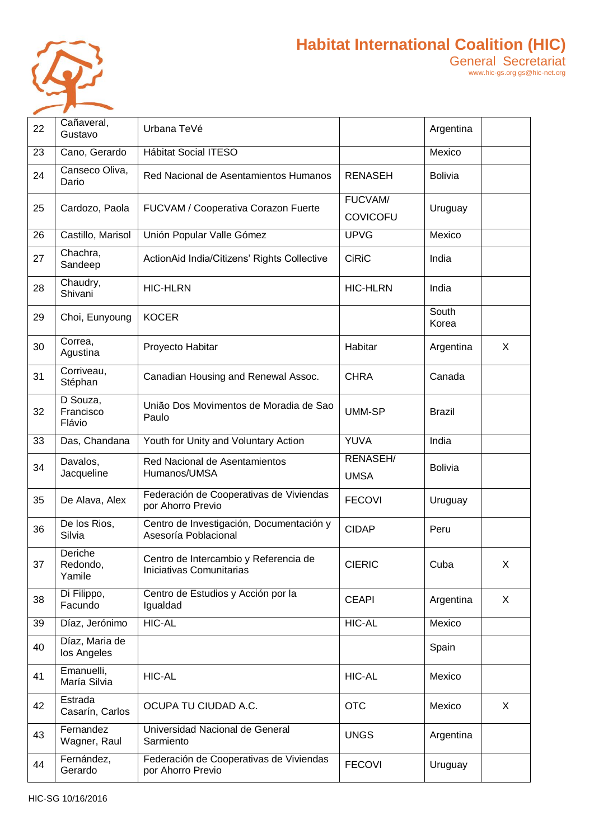

| 22 | Cañaveral,<br>Gustavo           | Urbana TeVé                                                       |                                   | Argentina      |   |
|----|---------------------------------|-------------------------------------------------------------------|-----------------------------------|----------------|---|
| 23 | Cano, Gerardo                   | <b>Hábitat Social ITESO</b>                                       |                                   | Mexico         |   |
| 24 | Canseco Oliva,<br>Dario         | Red Nacional de Asentamientos Humanos                             | <b>RENASEH</b>                    | <b>Bolivia</b> |   |
| 25 | Cardozo, Paola                  | FUCVAM / Cooperativa Corazon Fuerte                               | <b>FUCVAM/</b><br><b>COVICOFU</b> | Uruguay        |   |
| 26 | Castillo, Marisol               | Unión Popular Valle Gómez                                         | <b>UPVG</b>                       | Mexico         |   |
| 27 | Chachra,<br>Sandeep             | ActionAid India/Citizens' Rights Collective                       | <b>CiRiC</b>                      | India          |   |
| 28 | Chaudry,<br>Shivani             | <b>HIC-HLRN</b>                                                   | <b>HIC-HLRN</b>                   | India          |   |
| 29 | Choi, Eunyoung                  | <b>KOCER</b>                                                      |                                   | South<br>Korea |   |
| 30 | Correa,<br>Agustina             | Proyecto Habitar                                                  | Habitar                           | Argentina      | X |
| 31 | Corriveau,<br>Stéphan           | Canadian Housing and Renewal Assoc.                               | <b>CHRA</b>                       | Canada         |   |
| 32 | D Souza,<br>Francisco<br>Flávio | União Dos Movimentos de Moradia de Sao<br>Paulo                   | <b>UMM-SP</b>                     | <b>Brazil</b>  |   |
| 33 | Das, Chandana                   | Youth for Unity and Voluntary Action                              | <b>YUVA</b>                       | India          |   |
| 34 | Davalos,<br>Jacqueline          | Red Nacional de Asentamientos<br>Humanos/UMSA                     | RENASEH/<br><b>UMSA</b>           | <b>Bolivia</b> |   |
| 35 | De Alava, Alex                  | Federación de Cooperativas de Viviendas<br>por Ahorro Previo      | <b>FECOVI</b>                     | Uruguay        |   |
| 36 | De los Rios,<br>Silvia          | Centro de Investigación, Documentación y<br>Asesoría Poblacional  | <b>CIDAP</b>                      | Peru           |   |
| 37 | Deriche<br>Redondo,<br>Yamile   | Centro de Intercambio y Referencia de<br>Iniciativas Comunitarias | <b>CIERIC</b>                     | Cuba           | X |
| 38 | Di Filippo,<br>Facundo          | Centro de Estudios y Acción por la<br>Igualdad                    | <b>CEAPI</b>                      | Argentina      | X |
| 39 | Díaz, Jerónimo                  | <b>HIC-AL</b>                                                     | <b>HIC-AL</b>                     | Mexico         |   |
| 40 | Díaz, Maria de<br>los Angeles   |                                                                   |                                   | Spain          |   |
| 41 | Emanuelli,<br>María Silvia      | <b>HIC-AL</b>                                                     | <b>HIC-AL</b>                     | Mexico         |   |
| 42 | Estrada<br>Casarín, Carlos      | OCUPA TU CIUDAD A.C.                                              | <b>OTC</b>                        | Mexico         | X |
| 43 | Fernandez<br>Wagner, Raul       | Universidad Nacional de General<br>Sarmiento                      | <b>UNGS</b>                       | Argentina      |   |
| 44 | Fernández,<br>Gerardo           | Federación de Cooperativas de Viviendas<br>por Ahorro Previo      | <b>FECOVI</b>                     | Uruguay        |   |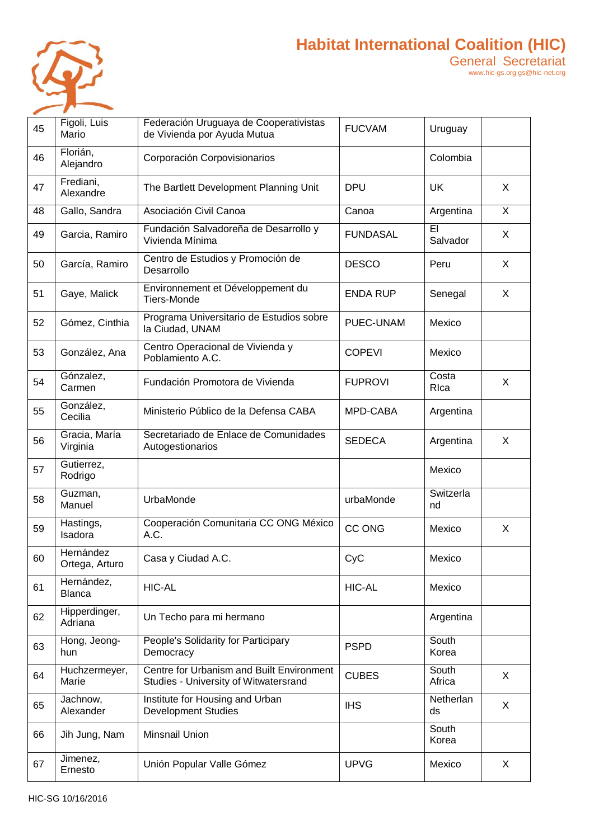

# **Habitat International Coalition (HIC)** General Secretariat

| 45 | Figoli, Luis<br>Mario       | Federación Uruguaya de Cooperativistas<br>de Vivienda por Ayuda Mutua              | <b>FUCVAM</b>   | Uruguay         |   |
|----|-----------------------------|------------------------------------------------------------------------------------|-----------------|-----------------|---|
| 46 | Florián,<br>Alejandro       | Corporación Corpovisionarios                                                       |                 | Colombia        |   |
| 47 | Frediani,<br>Alexandre      | The Bartlett Development Planning Unit                                             | <b>DPU</b>      | <b>UK</b>       | X |
| 48 | Gallo, Sandra               | Asociación Civil Canoa                                                             | Canoa           | Argentina       | X |
| 49 | Garcia, Ramiro              | Fundación Salvadoreña de Desarrollo y<br>Vivienda Mínima                           | <b>FUNDASAL</b> | EI<br>Salvador  | X |
| 50 | García, Ramiro              | Centro de Estudios y Promoción de<br>Desarrollo                                    | <b>DESCO</b>    | Peru            | X |
| 51 | Gaye, Malick                | Environnement et Développement du<br>Tiers-Monde                                   | <b>ENDA RUP</b> | Senegal         | X |
| 52 | Gómez, Cinthia              | Programa Universitario de Estudios sobre<br>la Ciudad, UNAM                        | PUEC-UNAM       | Mexico          |   |
| 53 | González, Ana               | Centro Operacional de Vivienda y<br>Poblamiento A.C.                               | <b>COPEVI</b>   | Mexico          |   |
| 54 | Gónzalez,<br>Carmen         | Fundación Promotora de Vivienda                                                    | <b>FUPROVI</b>  | Costa<br>RIca   | X |
| 55 | González,<br>Cecilia        | Ministerio Público de la Defensa CABA                                              | MPD-CABA        | Argentina       |   |
| 56 | Gracia, María<br>Virginia   | Secretariado de Enlace de Comunidades<br>Autogestionarios                          | <b>SEDECA</b>   | Argentina       | X |
| 57 | Gutierrez,<br>Rodrigo       |                                                                                    |                 | Mexico          |   |
| 58 | Guzman,<br>Manuel           | UrbaMonde                                                                          | urbaMonde       | Switzerla<br>nd |   |
| 59 | Hastings,<br>Isadora        | Cooperación Comunitaria CC ONG México<br>A.C.                                      | <b>CC ONG</b>   | Mexico          | X |
| 60 | Hernández<br>Ortega, Arturo | Casa y Ciudad A.C.                                                                 | CyC             | Mexico          |   |
| 61 | Hernández,<br><b>Blanca</b> | <b>HIC-AL</b>                                                                      | <b>HIC-AL</b>   | Mexico          |   |
| 62 | Hipperdinger,<br>Adriana    | Un Techo para mi hermano                                                           |                 | Argentina       |   |
| 63 | Hong, Jeong-<br>hun         | People's Solidarity for Participary<br>Democracy                                   | <b>PSPD</b>     | South<br>Korea  |   |
| 64 | Huchzermeyer,<br>Marie      | Centre for Urbanism and Built Environment<br>Studies - University of Witwatersrand | <b>CUBES</b>    | South<br>Africa | X |
| 65 | Jachnow,<br>Alexander       | Institute for Housing and Urban<br><b>Development Studies</b>                      | <b>IHS</b>      | Netherlan<br>ds | X |
| 66 | Jih Jung, Nam               | Minsnail Union                                                                     |                 | South<br>Korea  |   |
| 67 | Jimenez,<br>Ernesto         | Unión Popular Valle Gómez                                                          | <b>UPVG</b>     | Mexico          | X |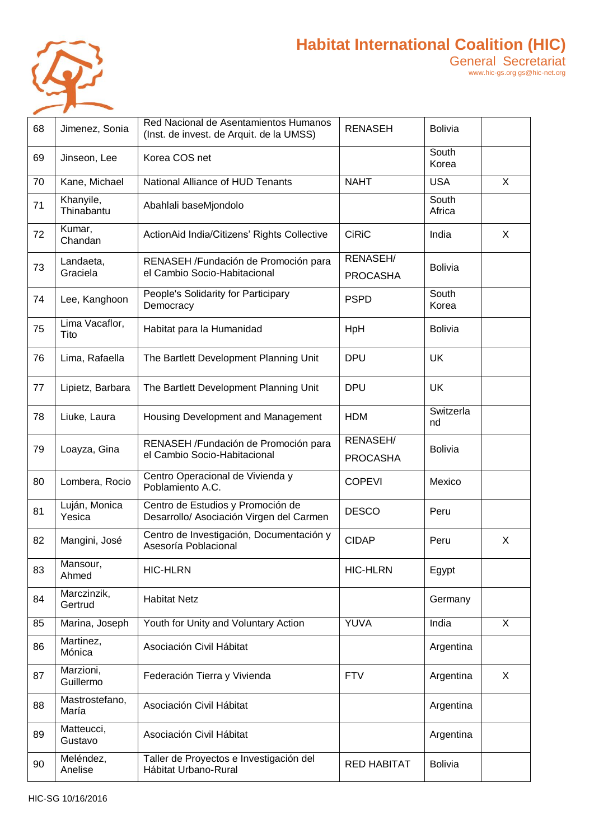

| 68 | Jimenez, Sonia          | Red Nacional de Asentamientos Humanos<br>(Inst. de invest. de Arquit. de la UMSS) | <b>RENASEH</b>                     | <b>Bolivia</b>  |                |
|----|-------------------------|-----------------------------------------------------------------------------------|------------------------------------|-----------------|----------------|
| 69 | Jinseon, Lee            | Korea COS net                                                                     |                                    | South<br>Korea  |                |
| 70 | Kane, Michael           | National Alliance of HUD Tenants                                                  | <b>NAHT</b>                        | <b>USA</b>      | $\overline{X}$ |
| 71 | Khanyile,<br>Thinabantu | Abahlali baseMjondolo                                                             |                                    | South<br>Africa |                |
| 72 | Kumar,<br>Chandan       | ActionAid India/Citizens' Rights Collective                                       | <b>CiRiC</b>                       | India           | X              |
| 73 | Landaeta,<br>Graciela   | RENASEH /Fundación de Promoción para<br>el Cambio Socio-Habitacional              | <b>RENASEH/</b><br><b>PROCASHA</b> | <b>Bolivia</b>  |                |
| 74 | Lee, Kanghoon           | People's Solidarity for Participary<br>Democracy                                  | <b>PSPD</b>                        | South<br>Korea  |                |
| 75 | Lima Vacaflor,<br>Tito  | Habitat para la Humanidad                                                         | HpH                                | <b>Bolivia</b>  |                |
| 76 | Lima, Rafaella          | The Bartlett Development Planning Unit                                            | <b>DPU</b>                         | <b>UK</b>       |                |
| 77 | Lipietz, Barbara        | The Bartlett Development Planning Unit                                            | <b>DPU</b>                         | <b>UK</b>       |                |
| 78 | Liuke, Laura            | Housing Development and Management                                                | <b>HDM</b>                         | Switzerla<br>nd |                |
| 79 | Loayza, Gina            | RENASEH /Fundación de Promoción para<br>el Cambio Socio-Habitacional              | RENASEH/<br><b>PROCASHA</b>        | <b>Bolivia</b>  |                |
| 80 | Lombera, Rocio          | Centro Operacional de Vivienda y<br>Poblamiento A.C.                              | <b>COPEVI</b>                      | Mexico          |                |
| 81 | Luján, Monica<br>Yesica | Centro de Estudios y Promoción de<br>Desarrollo/ Asociación Virgen del Carmen     | <b>DESCO</b>                       | Peru            |                |
| 82 | Mangini, José           | Centro de Investigación, Documentación y<br>Asesoría Poblacional                  | <b>CIDAP</b>                       | Peru            | X              |
| 83 | Mansour,<br>Ahmed       | <b>HIC-HLRN</b>                                                                   | <b>HIC-HLRN</b>                    | Egypt           |                |
| 84 | Marczinzik,<br>Gertrud  | <b>Habitat Netz</b>                                                               |                                    | Germany         |                |
| 85 | Marina, Joseph          | Youth for Unity and Voluntary Action                                              | YUVA                               | India           | X              |
| 86 | Martinez,<br>Mónica     | Asociación Civil Hábitat                                                          |                                    | Argentina       |                |
| 87 | Marzioni,<br>Guillermo  | Federación Tierra y Vivienda                                                      | <b>FTV</b>                         | Argentina       | X              |
| 88 | Mastrostefano,<br>María | Asociación Civil Hábitat                                                          |                                    | Argentina       |                |
| 89 | Matteucci,<br>Gustavo   | Asociación Civil Hábitat                                                          |                                    | Argentina       |                |
| 90 | Meléndez,<br>Anelise    | Taller de Proyectos e Investigación del<br>Hábitat Urbano-Rural                   | <b>RED HABITAT</b>                 | <b>Bolivia</b>  |                |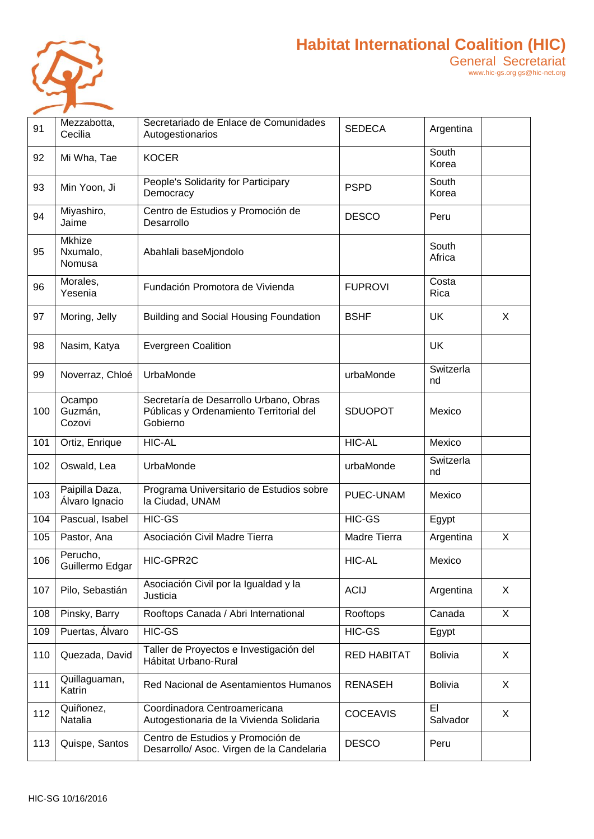

| 91  | Mezzabotta,<br>Cecilia              | Secretariado de Enlace de Comunidades<br>Autogestionarios                                     | <b>SEDECA</b>      | Argentina       |                         |
|-----|-------------------------------------|-----------------------------------------------------------------------------------------------|--------------------|-----------------|-------------------------|
| 92  | Mi Wha, Tae                         | <b>KOCER</b>                                                                                  |                    | South<br>Korea  |                         |
| 93  | Min Yoon, Ji                        | People's Solidarity for Participary<br>Democracy                                              | <b>PSPD</b>        | South<br>Korea  |                         |
| 94  | Miyashiro,<br>Jaime                 | Centro de Estudios y Promoción de<br>Desarrollo                                               | <b>DESCO</b>       | Peru            |                         |
| 95  | <b>Mkhize</b><br>Nxumalo,<br>Nomusa | Abahlali baseMjondolo                                                                         |                    | South<br>Africa |                         |
| 96  | Morales,<br>Yesenia                 | Fundación Promotora de Vivienda                                                               | <b>FUPROVI</b>     | Costa<br>Rica   |                         |
| 97  | Moring, Jelly                       | <b>Building and Social Housing Foundation</b>                                                 | <b>BSHF</b>        | <b>UK</b>       | X                       |
| 98  | Nasim, Katya                        | <b>Evergreen Coalition</b>                                                                    |                    | <b>UK</b>       |                         |
| 99  | Noverraz, Chloé                     | UrbaMonde                                                                                     | urbaMonde          | Switzerla<br>nd |                         |
| 100 | Ocampo<br>Guzmán,<br>Cozovi         | Secretaría de Desarrollo Urbano, Obras<br>Públicas y Ordenamiento Territorial del<br>Gobierno | <b>SDUOPOT</b>     | Mexico          |                         |
| 101 | Ortiz, Enrique                      | <b>HIC-AL</b>                                                                                 | <b>HIC-AL</b>      | Mexico          |                         |
| 102 | Oswald, Lea                         | UrbaMonde                                                                                     | urbaMonde          | Switzerla<br>nd |                         |
| 103 | Paipilla Daza,<br>Álvaro Ignacio    | Programa Universitario de Estudios sobre<br>la Ciudad, UNAM                                   | PUEC-UNAM          | Mexico          |                         |
| 104 | Pascual, Isabel                     | <b>HIC-GS</b>                                                                                 | <b>HIC-GS</b>      | Egypt           |                         |
| 105 | Pastor, Ana                         | Asociación Civil Madre Tierra                                                                 | Madre Tierra       | Argentina       | $\overline{\mathsf{x}}$ |
| 106 | Perucho,<br>Guillermo Edgar         | HIC-GPR2C                                                                                     | <b>HIC-AL</b>      | Mexico          |                         |
| 107 | Pilo, Sebastián                     | Asociación Civil por la Igualdad y la<br>Justicia                                             | <b>ACIJ</b>        | Argentina       | X                       |
| 108 | Pinsky, Barry                       | Rooftops Canada / Abri International                                                          | Rooftops           | Canada          | X                       |
| 109 | Puertas, Álvaro                     | HIC-GS                                                                                        | HIC-GS             | Egypt           |                         |
| 110 | Quezada, David                      | Taller de Proyectos e Investigación del<br>Hábitat Urbano-Rural                               | <b>RED HABITAT</b> | <b>Bolivia</b>  | X                       |
| 111 | Quillaguaman,<br>Katrin             | Red Nacional de Asentamientos Humanos                                                         | <b>RENASEH</b>     | <b>Bolivia</b>  | X                       |
| 112 | Quiñonez,<br>Natalia                | Coordinadora Centroamericana<br>Autogestionaria de la Vivienda Solidaria                      | <b>COCEAVIS</b>    | EI<br>Salvador  | X                       |
| 113 | Quispe, Santos                      | Centro de Estudios y Promoción de<br>Desarrollo/ Asoc. Virgen de la Candelaria                | <b>DESCO</b>       | Peru            |                         |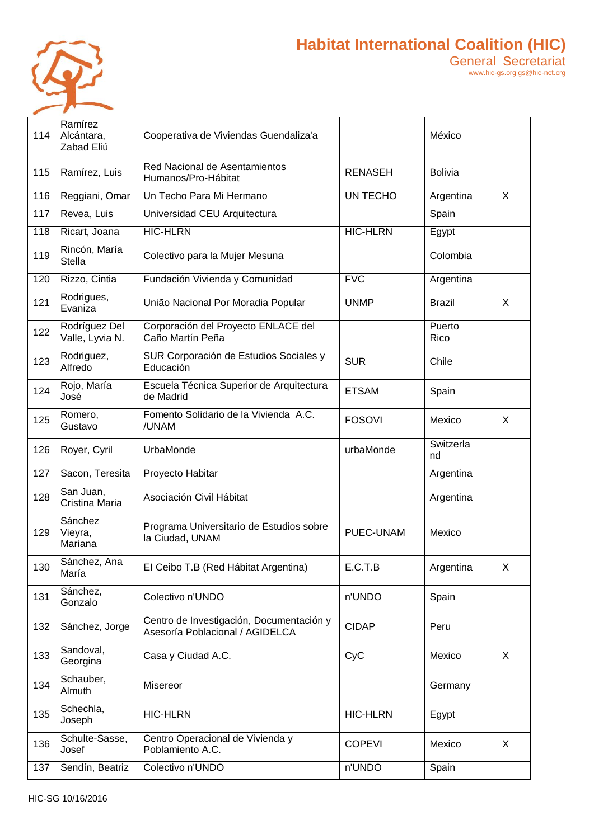

| 114 | Ramírez<br>Alcántara,<br>Zabad Eliú | Cooperativa de Viviendas Guendaliza'a                                       |                 | México          |              |
|-----|-------------------------------------|-----------------------------------------------------------------------------|-----------------|-----------------|--------------|
| 115 | Ramírez, Luis                       | Red Nacional de Asentamientos<br>Humanos/Pro-Hábitat                        | <b>RENASEH</b>  | <b>Bolivia</b>  |              |
| 116 | Reggiani, Omar                      | Un Techo Para Mi Hermano                                                    | UN TECHO        | Argentina       | $\mathsf{X}$ |
| 117 | Revea, Luis                         | Universidad CEU Arquitectura                                                |                 | Spain           |              |
| 118 | Ricart, Joana                       | <b>HIC-HLRN</b>                                                             | <b>HIC-HLRN</b> | Egypt           |              |
| 119 | Rincón, María<br><b>Stella</b>      | Colectivo para la Mujer Mesuna                                              |                 | Colombia        |              |
| 120 | Rizzo, Cintia                       | Fundación Vivienda y Comunidad                                              | <b>FVC</b>      | Argentina       |              |
| 121 | Rodrigues,<br>Evaniza               | União Nacional Por Moradia Popular                                          | <b>UNMP</b>     | Brazil          | X            |
| 122 | Rodríguez Del<br>Valle, Lyvia N.    | Corporación del Proyecto ENLACE del<br>Caño Martín Peña                     |                 | Puerto<br>Rico  |              |
| 123 | Rodriguez,<br>Alfredo               | SUR Corporación de Estudios Sociales y<br>Educación                         | <b>SUR</b>      | Chile           |              |
| 124 | Rojo, María<br>José                 | Escuela Técnica Superior de Arquitectura<br>de Madrid                       | <b>ETSAM</b>    | Spain           |              |
| 125 | Romero,<br>Gustavo                  | Fomento Solidario de la Vivienda A.C.<br>/UNAM                              | <b>FOSOVI</b>   | Mexico          | X            |
| 126 | Royer, Cyril                        | UrbaMonde                                                                   | urbaMonde       | Switzerla<br>nd |              |
| 127 | Sacon, Teresita                     | Proyecto Habitar                                                            |                 | Argentina       |              |
| 128 | San Juan,<br>Cristina Maria         | Asociación Civil Hábitat                                                    |                 | Argentina       |              |
| 129 | Sánchez<br>Vieyra,<br>Mariana       | Programa Universitario de Estudios sobre<br>la Ciudad, UNAM                 | PUEC-UNAM       | Mexico          |              |
| 130 | Sánchez, Ana<br>María               | El Ceibo T.B (Red Hábitat Argentina)                                        | E.C.T.B         | Argentina       | X            |
| 131 | Sánchez,<br>Gonzalo                 | Colectivo n'UNDO                                                            | n'UNDO          | Spain           |              |
| 132 | Sánchez, Jorge                      | Centro de Investigación, Documentación y<br>Asesoría Poblacional / AGIDELCA | <b>CIDAP</b>    | Peru            |              |
| 133 | Sandoval,<br>Georgina               | Casa y Ciudad A.C.                                                          | CyC             | Mexico          | X            |
| 134 | Schauber,<br>Almuth                 | Misereor                                                                    |                 | Germany         |              |
| 135 | Schechla,<br>Joseph                 | <b>HIC-HLRN</b>                                                             | <b>HIC-HLRN</b> | Egypt           |              |
| 136 | Schulte-Sasse,<br>Josef             | Centro Operacional de Vivienda y<br>Poblamiento A.C.                        | <b>COPEVI</b>   | Mexico          | X            |
| 137 | Sendín, Beatriz                     | Colectivo n'UNDO                                                            | n'UNDO          | Spain           |              |